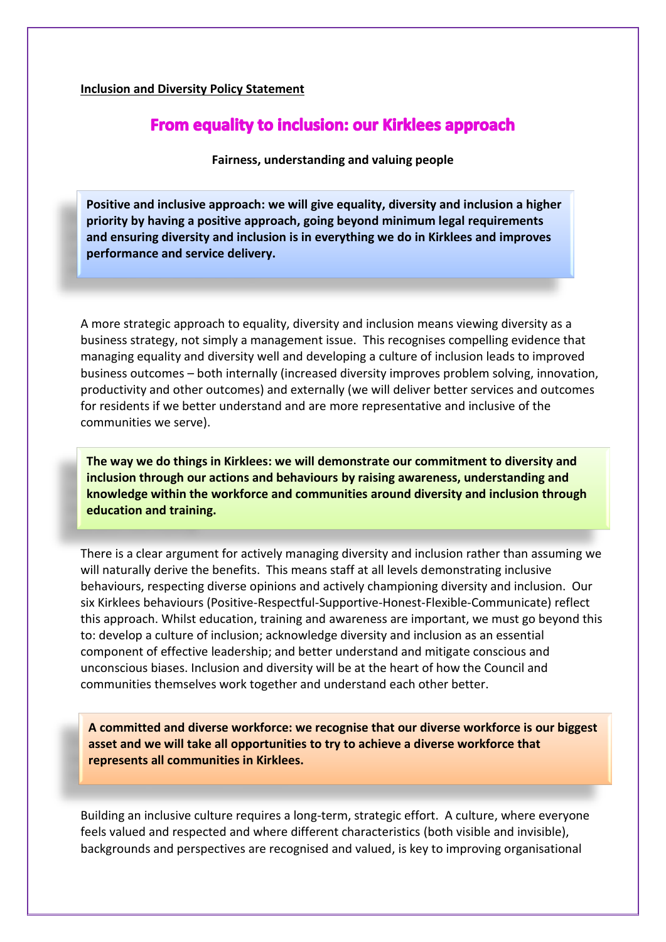## **Inclusion and Diversity Policy Statement**

## **From equality to inclusion: our Kirklees approach**

**Fairness, understanding and valuing people**

**Positive and inclusive approach: we will give equality, diversity and inclusion a higher priority by having a positive approach, going beyond minimum legal requirements and ensuring diversity and inclusion is in everything we do in Kirklees and improves performance and service delivery.**

A more strategic approach to equality, diversity and inclusion means viewing diversity as a business strategy, not simply a management issue. This recognises compelling evidence that managing equality and diversity well and developing a culture of inclusion leads to improved business outcomes – both internally (increased diversity improves problem solving, innovation, productivity and other outcomes) and externally (we will deliver better services and outcomes for residents if we better understand and are more representative and inclusive of the communities we serve).

**The way we do things in Kirklees: we will demonstrate our commitment to diversity and inclusion through our actions and behaviours by raising awareness, understanding and knowledge within the workforce and communities around diversity and inclusion through education and training.**

There is a clear argument for actively managing diversity and inclusion rather than assuming we will naturally derive the benefits. This means staff at all levels demonstrating inclusive behaviours, respecting diverse opinions and actively championing diversity and inclusion. Our six Kirklees behaviours (Positive-Respectful-Supportive-Honest-Flexible-Communicate) reflect this approach. Whilst education, training and awareness are important, we must go beyond this to: develop a culture of inclusion; acknowledge diversity and inclusion as an essential component of effective leadership; and better understand and mitigate conscious and unconscious biases. Inclusion and diversity will be at the heart of how the Council and communities themselves work together and understand each other better.

**A committed and diverse workforce: we recognise that our diverse workforce is our biggest asset and we will take all opportunities to try to achieve a diverse workforce that represents all communities in Kirklees.**

Building an inclusive culture requires a long-term, strategic effort. A culture, where everyone feels valued and respected and where different characteristics (both visible and invisible), backgrounds and perspectives are recognised and valued, is key to improving organisational